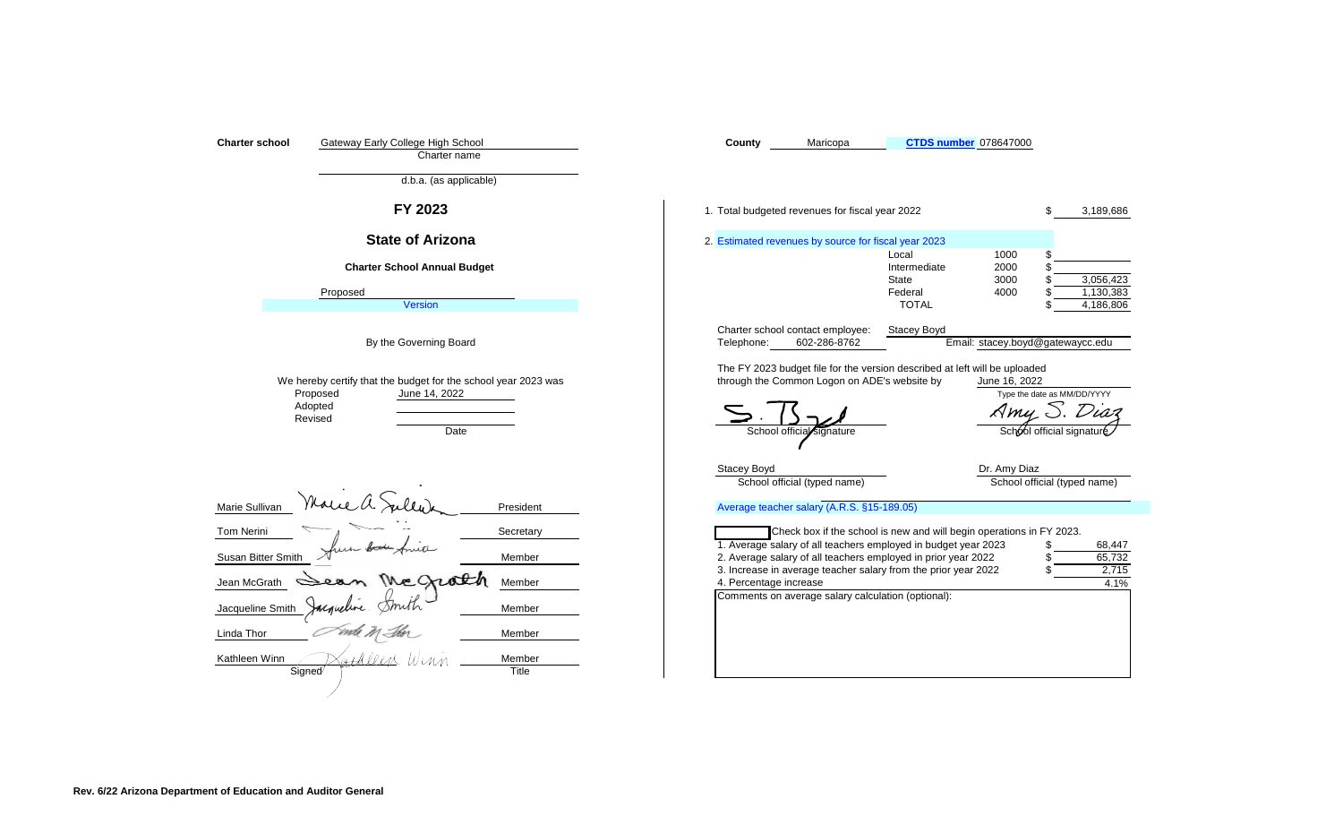| Gateway Early College High School<br><b>Charter school</b><br>Charter name<br>d.b.a. (as applicable)                                                                                                        | Maricopa<br><b>CTDS number 078647000</b><br>County                                                                                                                                                                                                                                                                                                                                                        |
|-------------------------------------------------------------------------------------------------------------------------------------------------------------------------------------------------------------|-----------------------------------------------------------------------------------------------------------------------------------------------------------------------------------------------------------------------------------------------------------------------------------------------------------------------------------------------------------------------------------------------------------|
| FY 2023                                                                                                                                                                                                     | 1. Total budgeted revenues for fiscal year 2022<br>\$<br>3,189,686                                                                                                                                                                                                                                                                                                                                        |
| <b>State of Arizona</b>                                                                                                                                                                                     | 2. Estimated revenues by source for fiscal year 2023                                                                                                                                                                                                                                                                                                                                                      |
| <b>Charter School Annual Budget</b>                                                                                                                                                                         | 1000<br>Local<br>Intermediate<br>2000<br>\$<br>3000<br>3,056,423<br>State<br>\$                                                                                                                                                                                                                                                                                                                           |
| Proposed<br><b>Version</b>                                                                                                                                                                                  | Federal<br>4000<br>1,130,383<br>\$<br><b>TOTAL</b><br>4,186,806                                                                                                                                                                                                                                                                                                                                           |
| By the Governing Board                                                                                                                                                                                      | Charter school contact employee:<br><b>Stacey Boyd</b><br>Email: stacey.boyd@gatewaycc.edu<br>602-286-8762<br>Telephone:                                                                                                                                                                                                                                                                                  |
| We hereby certify that the budget for the school year 2023 was<br>Proposed<br>June 14, 2022<br>Adopted<br>Revised<br>Date                                                                                   | The FY 2023 budget file for the version described at left will be uploaded<br>through the Common Logon on ADE's website by<br>June 16, 2022<br>Type the date as MM/DD/YYYY<br>Amy S. Dia<br>School official signature<br>School official signature                                                                                                                                                        |
|                                                                                                                                                                                                             | Dr. Amy Diaz<br><b>Stacey Boyd</b><br>School official (typed name)<br>School official (typed name)                                                                                                                                                                                                                                                                                                        |
| Marie Sullivan<br>President                                                                                                                                                                                 | Average teacher salary (A.R.S. §15-189.05)                                                                                                                                                                                                                                                                                                                                                                |
| <b>Tom Nerini</b><br>Secretary<br>Susan Bitter Smith<br>Member<br>Jean McGrath<br>Member<br>Jacqueline Smith<br>Member<br>Linda Thor<br>Member<br>Kathleen Winn<br>Member<br>' V P e a K<br>Signed<br>Title | Check box if the school is new and will begin operations in FY 2023.<br>1. Average salary of all teachers employed in budget year 2023<br>68,447<br>\$<br>2. Average salary of all teachers employed in prior year 2022<br>65,732<br>3. Increase in average teacher salary from the prior year 2022<br>2,715<br>S<br>4. Percentage increase<br>4.1%<br>Comments on average salary calculation (optional): |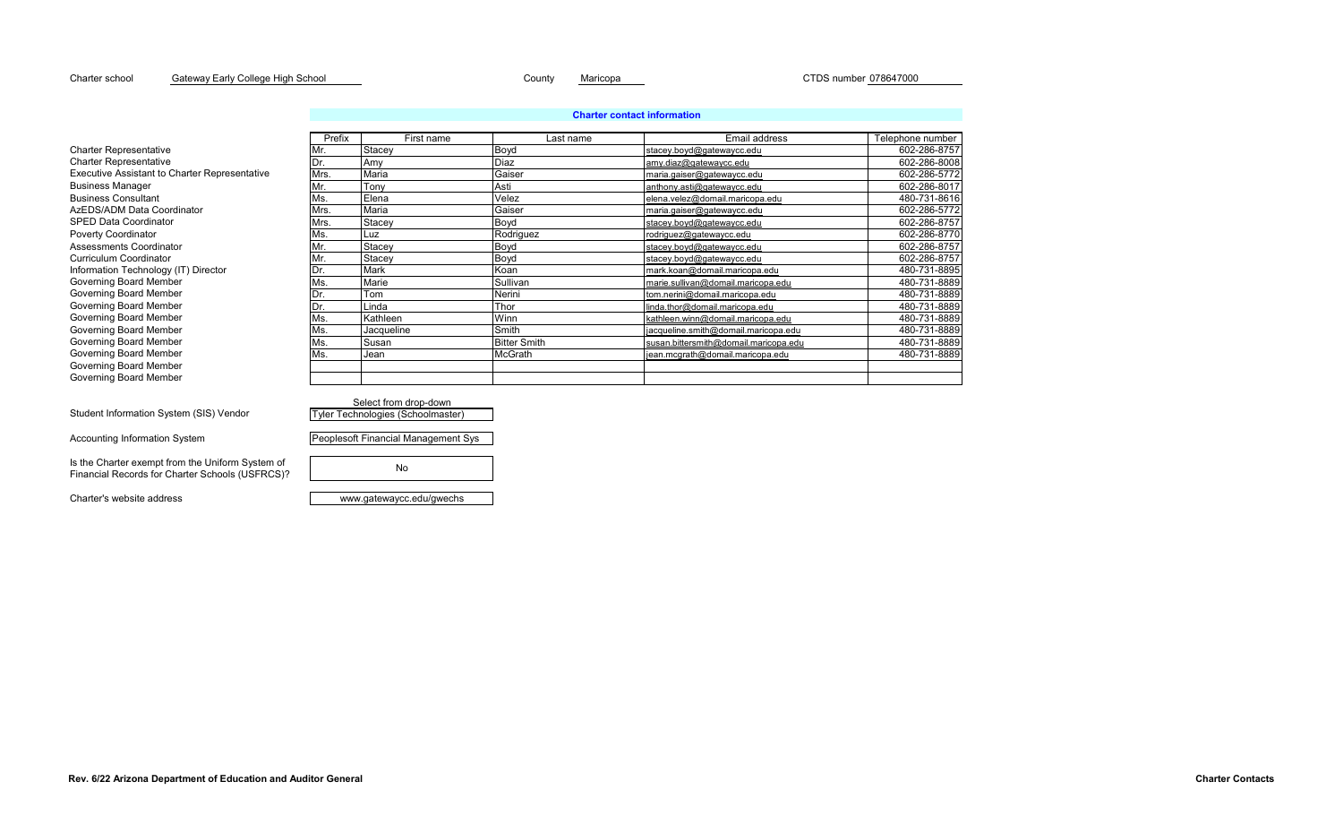### Charter school County Maricopa CTDS number 078647000 Gateway Early College High School

## **Charter contact information**

|                                                      | Prefix | First name                        | Last name           | Email address                         | Telephone number |
|------------------------------------------------------|--------|-----------------------------------|---------------------|---------------------------------------|------------------|
| <b>Charter Representative</b>                        |        | Stacey                            | Boyd                | stacey.boyd@gatewaycc.edu             | 602-286-8757     |
| <b>Charter Representative</b>                        |        | Amy                               | Diaz                | amy.diaz@gatewaycc.edu                | 602-286-8008     |
| <b>Executive Assistant to Charter Representative</b> | Mrs.   | Maria                             | Gaiser              | maria.gaiser@gatewaycc.edu            | 602-286-5772     |
| <b>Business Manager</b>                              |        | Tonv                              | Asti                | anthony.asti@gatewaycc.edu            | 602-286-8017     |
| <b>Business Consultant</b>                           | Ms.    | Elena                             | Velez               | elena.velez@domail.maricopa.edu       | 480-731-8616     |
| AzEDS/ADM Data Coordinator                           | Mrs.   | Maria                             | Gaiser              | maria.gaiser@gatewaycc.edu            | 602-286-5772     |
| <b>SPED Data Coordinator</b>                         | Mrs.   | Stacey                            | Boyd                | stacey.boyd@gatewaycc.edu             | 602-286-8757     |
| <b>Poverty Coordinator</b>                           | Ms.    | Luz                               | Rodriguez           | rodriguez@gatewaycc.edu               | 602-286-8770     |
| Assessments Coordinator                              |        | Stacey                            | Boyd                | stacey.boyd@gatewaycc.edu             | 602-286-8757     |
| <b>Curriculum Coordinator</b>                        |        | Stacey                            | Boyd                | stacey.boyd@gatewaycc.edu             | 602-286-8757     |
| Information Technology (IT) Director                 |        | Mark                              | Koan                | mark.koan@domail.maricopa.edu         | 480-731-8895     |
| Governing Board Member                               | Ms.    | Marie                             | Sullivan            | marie.sullivan@domail.maricopa.edu    | 480-731-8889     |
| Governing Board Member                               |        | Tom                               | Nerini              | tom.nerini@domail.maricopa.edu        | 480-731-8889     |
| Governing Board Member                               | Dr.    | Linda                             | Thor                | linda.thor@domail.maricopa.edu        | 480-731-8889     |
| Governing Board Member                               | Ms     | Kathleen                          | Winn                | kathleen.winn@domail.maricopa.edu     | 480-731-8889     |
| Governing Board Member                               | Ms     | Jacqueline                        | Smith               | jacqueline.smith@domail.maricopa.edu  | 480-731-8889     |
| Governing Board Member                               | Ms.    | Susan                             | <b>Bitter Smith</b> | susan.bittersmith@domail.maricopa.edu | 480-731-8889     |
| Governing Board Member                               | Ms.    | Jean                              | McGrath             | jean.mcgrath@domail.maricopa.edu      | 480-731-8889     |
| Governing Board Member                               |        |                                   |                     |                                       |                  |
| Governing Board Member                               |        |                                   |                     |                                       |                  |
|                                                      |        |                                   |                     |                                       |                  |
|                                                      |        | Select from drop-down             |                     |                                       |                  |
| Student Information System (SIS) Vendor              |        | Tyler Technologies (Schoolmaster) |                     |                                       |                  |

Accounting Information System

Is the Charter exempt from the Uniform System of Financial Records for Charter Schools (USFRCS)?

| Peoplesoft Financial Management Sys |  |
|-------------------------------------|--|
|                                     |  |
| N٥                                  |  |
|                                     |  |

Charter's website address www.gatewaycc.edu/gwechs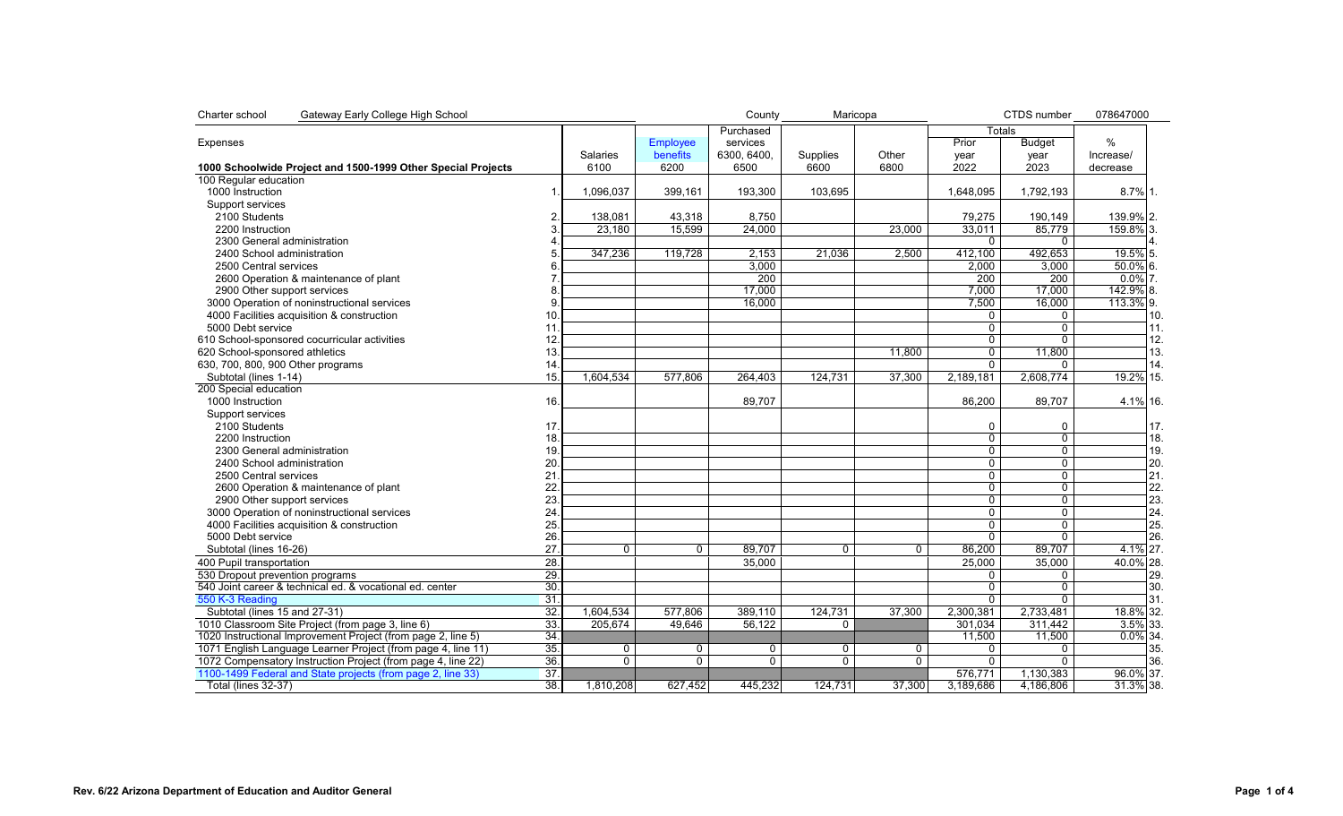| Charter school<br>Gateway Early College High School          |                 |                 |                 | County         | Maricopa       |              | CTDS number      | 078647000      |              |
|--------------------------------------------------------------|-----------------|-----------------|-----------------|----------------|----------------|--------------|------------------|----------------|--------------|
|                                                              |                 |                 |                 | Purchased      |                |              | Totals           |                |              |
| Expenses                                                     |                 |                 | Employee        | services       |                |              | Prior            | <b>Budget</b>  | %            |
|                                                              |                 | <b>Salaries</b> | <b>benefits</b> | 6300.6400.     | Supplies       | Other        | year             | year           | Increase/    |
| 1000 Schoolwide Project and 1500-1999 Other Special Projects |                 | 6100            | 6200            | 6500           | 6600           | 6800         | 2022             | 2023           | decrease     |
| 100 Regular education                                        |                 |                 |                 |                |                |              |                  |                |              |
| 1000 Instruction                                             |                 | 1,096,037       | 399,161         | 193,300        | 103.695        |              | 1.648.095        | 1,792,193      | 8.7% 1.      |
| Support services                                             |                 |                 |                 |                |                |              |                  |                |              |
| 2100 Students                                                | 2               | 138,081         | 43,318          | 8,750          |                |              | 79,275           | 190,149        | 139.9% 2.    |
| 2200 Instruction                                             | 3               | 23,180          | 15.599          | 24,000         |                | 23,000       | 33.011           | 85.779         | 159.8% 3.    |
| 2300 General administration                                  |                 |                 |                 |                |                |              | $\Omega$         | $\mathbf{0}$   |              |
| 2400 School administration                                   |                 | 347,236         | 119,728         | 2,153          | 21,036         | 2,500        | 412,100          | 492,653        | 19.5% 5.     |
| 2500 Central services                                        | հ               |                 |                 | 3,000          |                |              | 2,000            | 3,000          | $50.0\%$ 6.  |
| 2600 Operation & maintenance of plant                        |                 |                 |                 | 200            |                |              | $\overline{200}$ | 200            | $0.0\%$ 7.   |
| 2900 Other support services                                  | 8               |                 |                 | 17,000         |                |              | 7,000            | 17,000         | 142.9% 8.    |
| 3000 Operation of noninstructional services                  | $\mathbf{Q}$    |                 |                 | 16.000         |                |              | 7,500            | 16.000         | 113.3% 9.    |
|                                                              |                 |                 |                 |                |                |              |                  |                |              |
| 4000 Facilities acquisition & construction                   | 10              |                 |                 |                |                |              | 0                | 0              | 10.          |
| 5000 Debt service                                            | 11              |                 |                 |                |                |              | $\Omega$         | $\Omega$       | 11.          |
| 610 School-sponsored cocurricular activities                 | 12.             |                 |                 |                |                |              | $\mathbf 0$      | $\mathbf 0$    | 12.          |
| 620 School-sponsored athletics                               | 13.             |                 |                 |                |                | 11.800       | $\overline{0}$   | 11,800         | 13.          |
| 630, 700, 800, 900 Other programs                            | 14              |                 |                 |                |                |              | $\overline{0}$   | $\Omega$       | 14.          |
| Subtotal (lines 1-14)                                        | 15.             | 1,604,534       | 577,806         | 264,403        | 124,731        | 37,300       | 2,189,181        | 2,608,774      | 19.2% 15.    |
| 200 Special education                                        |                 |                 |                 |                |                |              |                  |                |              |
| 1000 Instruction                                             | 16.             |                 |                 | 89,707         |                |              | 86,200           | 89,707         | 4.1% 16.     |
| Support services                                             |                 |                 |                 |                |                |              |                  |                |              |
| 2100 Students                                                | 17 <sub>2</sub> |                 |                 |                |                |              | $\Omega$         | 0              | 17.          |
| 2200 Instruction                                             | 18.             |                 |                 |                |                |              | $\overline{0}$   | $\overline{0}$ | 18.          |
| 2300 General administration                                  | 19.             |                 |                 |                |                |              | $\mathbf 0$      | $\mathbf 0$    | 19.          |
| 2400 School administration                                   | 20              |                 |                 |                |                |              | 0                | 0              | 20.          |
| 2500 Central services                                        | 21              |                 |                 |                |                |              | $\Omega$         | $\mathbf 0$    | 21.          |
| 2600 Operation & maintenance of plant                        | 22              |                 |                 |                |                |              | $\mathbf 0$      | 0              | 22.          |
| 2900 Other support services                                  | 23              |                 |                 |                |                |              | $\Omega$         | $\Omega$       | 23.          |
| 3000 Operation of noninstructional services                  | 24              |                 |                 |                |                |              | $\mathbf 0$      | 0              | 24.          |
| 4000 Facilities acquisition & construction                   | 25.             |                 |                 |                |                |              | $\overline{0}$   | $\overline{0}$ | 25.          |
| 5000 Debt service                                            | 26              |                 |                 |                |                |              | $\overline{0}$   | $\overline{0}$ | 26.          |
| Subtotal (lines 16-26)                                       | 27              | $\Omega$        | $\Omega$        | 89,707         | $\Omega$       | $\Omega$     | 86,200           | 89,707         | 4.1% 27.     |
|                                                              |                 |                 |                 |                |                |              |                  |                |              |
| 400 Pupil transportation                                     | $\overline{28}$ |                 |                 | 35,000         |                |              | 25,000           | 35,000         | 40.0% 28.    |
| 530 Dropout prevention programs                              | 29.             |                 |                 |                |                |              | $\Omega$         | 0              | 29.          |
| 540 Joint career & technical ed. & vocational ed. center     | 30.             |                 |                 |                |                |              | $\overline{0}$   | $\overline{0}$ | 30.          |
| 550 K-3 Reading                                              | $\overline{31}$ |                 |                 |                |                |              | $\Omega$         | $\mathbf{0}$   | 31.          |
| Subtotal (lines 15 and 27-31)                                | 32.             | 1,604,534       | 577,806         | 389,110        | 124,731        | 37,300       | 2,300,381        | 2,733,481      | 18.8% 32.    |
| 1010 Classroom Site Project (from page 3, line 6)            | 33.             | 205,674         | 49.646          | 56,122         | $\Omega$       |              | 301.034          | 311,442        | 3.5% 33.     |
| 1020 Instructional Improvement Project (from page 2, line 5) | 34.             |                 |                 |                |                |              | 11,500           | 11,500         | $0.0\%$ 34.  |
| 1071 English Language Learner Project (from page 4, line 11) | 35.             | 0               | $\mathbf{0}$    | 0              | $\Omega$       | $\mathbf{0}$ | $\Omega$         | $\mathbf{0}$   | 35.          |
| 1072 Compensatory Instruction Project (from page 4, line 22) | 36.             | $\overline{0}$  | $\overline{0}$  | $\overline{0}$ | $\overline{0}$ | 0            | $\overline{0}$   | $\overline{0}$ | 36.          |
| 1100-1499 Federal and State projects (from page 2, line 33)  | 37.             |                 |                 |                |                |              | 576,771          | 1,130,383      | 96.0% 37.    |
| Total (lines 32-37)                                          | $\overline{38}$ | 1,810,208       | 627,452         | 445,232        | 124,731        | 37,300       | 3,189,686        | 4,186,806      | $31.3\%$ 38. |
|                                                              |                 |                 |                 |                |                |              |                  |                |              |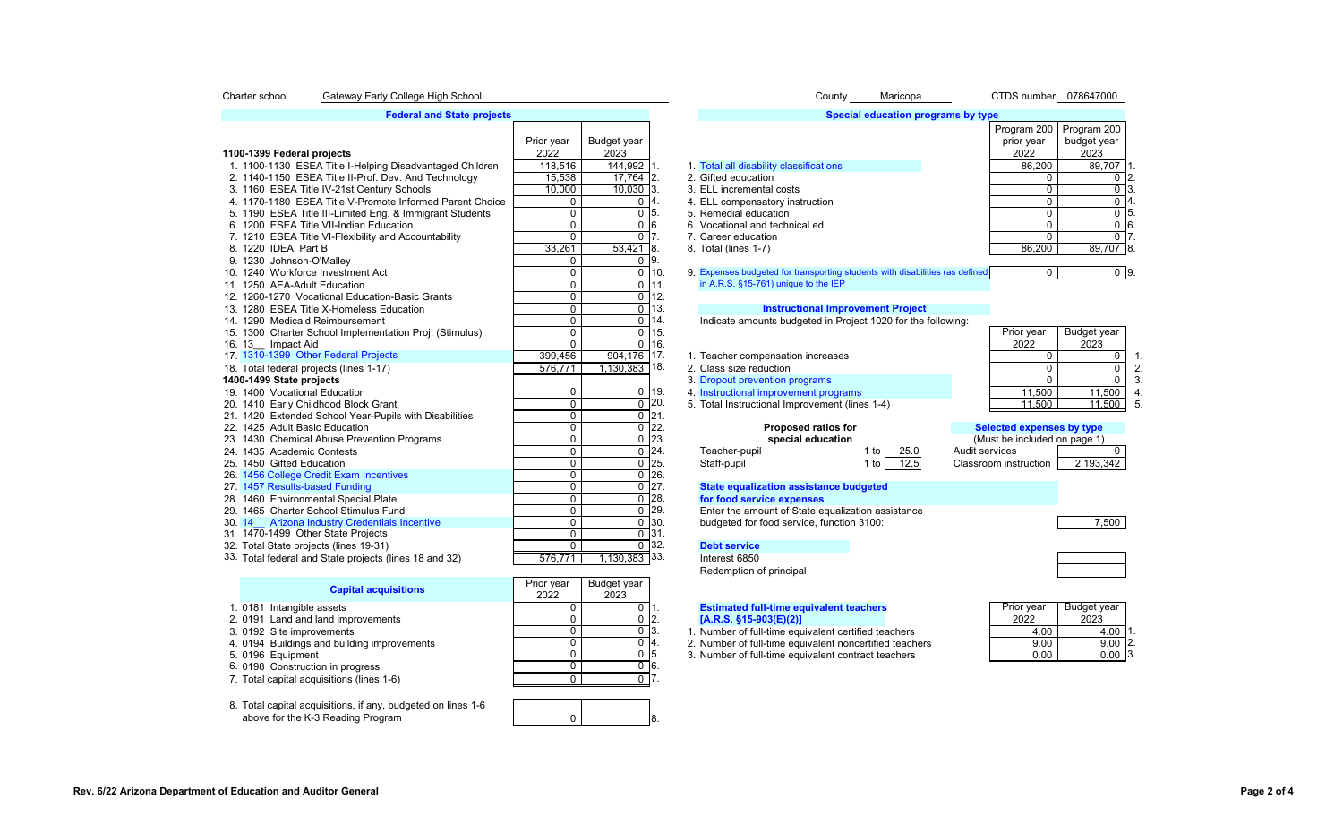### Charter school Gateway Early College High School Network Charter School County County Maricopa CTDS number 078647000

### **Federal and State projects**

|                                                          |                |                   |                    |                                                                              |           |                |                              | Program 200   Program 200 |
|----------------------------------------------------------|----------------|-------------------|--------------------|------------------------------------------------------------------------------|-----------|----------------|------------------------------|---------------------------|
|                                                          | Prior year     | Budget year       |                    |                                                                              |           |                | prior year                   | budget year               |
| 1100-1399 Federal projects                               | 2022           | 2023              |                    |                                                                              |           |                | 2022                         | 2023                      |
| 1. 1100-1130 ESEA Title I-Helping Disadvantaged Children | 118,516        | $144,992$ 1.      |                    | 1. Total all disability classifications                                      |           |                | 86,200                       | 89,707                    |
| 2. 1140-1150 ESEA Title II-Prof. Dev. And Technology     | 15,538         | 17,764 2.         |                    | 2. Gifted education                                                          |           |                |                              | $\Omega$                  |
| 3. 1160 ESEA Title IV-21st Century Schools               | 10,000         | $10,030$ 3.       |                    | 3. ELL incremental costs                                                     |           |                | $\Omega$                     | $\Omega$                  |
| 4. 1170-1180 ESEA Title V-Promote Informed Parent Choice | 0              | $0\vert 4$        |                    | 4. ELL compensatory instruction                                              |           |                | $\Omega$                     | $\mathbf{0}$              |
| 5. 1190 ESEA Title III-Limited Eng. & Immigrant Students | $\overline{0}$ | $\overline{0}$ 5. |                    | 5. Remedial education                                                        |           |                | $\Omega$                     | $\overline{0}$            |
| 6. 1200 ESEA Title VII-Indian Education                  | $\mathbf 0$    | 0 <sup>16</sup>   |                    | 6. Vocational and technical ed.                                              |           |                | $\Omega$                     | 0 <sup>16</sup>           |
| 7. 1210 ESEA Title VI-Flexibility and Accountability     | $\Omega$       | $\overline{0}$ 7. |                    | 7. Career education                                                          |           |                | $\Omega$                     | $\Omega$                  |
| 8. 1220 IDEA, Part B                                     | 33,261         | $53,421$ 8.       |                    | 8. Total (lines 1-7)                                                         |           |                | 86,200                       | 89,707 8                  |
| 9. 1230 Johnson-O'Malley                                 | 0              |                   | $\overline{0}$ 9.  |                                                                              |           |                |                              |                           |
| 10. 1240 Workforce Investment Act                        | 0              | $\mathbf 0$       | 10.                | 9. Expenses budgeted for transporting students with disabilities (as defined |           |                | $\Omega$                     | 0 <sub>9</sub>            |
| 11. 1250 AEA-Adult Education                             | $\Omega$       | $\Omega$          | 11.                | in A.R.S. §15-761) unique to the IEP                                         |           |                |                              |                           |
| 12. 1260-1270 Vocational Education-Basic Grants          | $\mathbf 0$    | $\mathbf 0$       | 12.                |                                                                              |           |                |                              |                           |
| 13. 1280 ESEA Title X-Homeless Education                 | $\overline{0}$ |                   | $\overline{0}$ 13. | <b>Instructional Improvement Project</b>                                     |           |                |                              |                           |
| 14. 1290 Medicaid Reimbursement                          | $\overline{0}$ |                   | $\overline{0}$ 14. | Indicate amounts budgeted in Project 1020 for the following:                 |           |                |                              |                           |
| 15. 1300 Charter School Implementation Proj. (Stimulus)  | $\overline{0}$ |                   | $0$ 15.            |                                                                              |           |                | Prior year                   | Budget year               |
| 16. 13 Impact Aid                                        | $\mathbf 0$    |                   | $0$ 16.            |                                                                              |           |                | 2022                         | 2023                      |
| 17. 1310-1399 Other Federal Projects                     | 399,456        | 904.176 17.       |                    | 1. Teacher compensation increases                                            |           |                | 0                            | $\Omega$                  |
| 18. Total federal projects (lines 1-17)                  | 576,771        | $1,130,383$ 18.   |                    | 2. Class size reduction                                                      |           |                | 0                            | $\mathbf 0$               |
| 1400-1499 State projects                                 |                |                   |                    | 3. Dropout prevention programs                                               |           |                | $\Omega$                     | $\Omega$                  |
| 19. 1400 Vocational Education                            | 0              | 0                 | 19.                | 4. Instructional improvement programs                                        |           |                | 11,500                       | 11,500                    |
| 20. 1410 Early Childhood Block Grant                     | $\mathbf 0$    | $\mathbf 0$       | 120.               | 5. Total Instructional Improvement (lines 1-4)                               |           |                | 11,500                       | 11,500                    |
| 21. 1420 Extended School Year-Pupils with Disabilities   | $\overline{0}$ |                   | $0$ 21.            |                                                                              |           |                |                              |                           |
| 22. 1425 Adult Basic Education                           | 0              | 0                 | $\mathsf{I}_{22}$  | <b>Proposed ratios for</b>                                                   |           |                | Selected expenses by type    |                           |
| 23. 1430 Chemical Abuse Prevention Programs              | $\Omega$       |                   | $\overline{0}$ 23. | special education                                                            |           |                | (Must be included on page 1) |                           |
| 24. 1435 Academic Contests                               | $\mathbf 0$    |                   | $0$ 24.            | Teacher-pupil                                                                | 1 to 25.0 | Audit services |                              | $\Omega$                  |
| 25. 1450 Gifted Education                                | $\mathbf 0$    |                   | $\overline{0}$ 25. | Staff-pupil                                                                  | 1 to 12.5 |                | Classroom instruction        | 2,193,342                 |
| 26. 1456 College Credit Exam Incentives                  | $\mathbf 0$    |                   | $\overline{0}$ 26. |                                                                              |           |                |                              |                           |
| 27. 1457 Results-based Funding                           | $\mathbf 0$    |                   | $0$   27.          | <b>State equalization assistance budgeted</b>                                |           |                |                              |                           |
| 28. 1460 Environmental Special Plate                     | $\mathbf 0$    |                   | $\overline{0}$ 28. | for food service expenses                                                    |           |                |                              |                           |
| 29. 1465 Charter School Stimulus Fund                    | $\mathbf 0$    |                   | $0$ 29.            | Enter the amount of State equalization assistance                            |           |                |                              |                           |
| 30. 14 Arizona Industry Credentials Incentive            | 0              |                   | $0$ 30.            | budgeted for food service, function 3100:                                    |           |                |                              | 7,500                     |
| 31. 1470-1499 Other State Projects                       | $\mathbf 0$    |                   | $0$ 31.            |                                                                              |           |                |                              |                           |
| 32. Total State projects (lines 19-31)                   | $\Omega$       |                   | $0^{\circ}32.$     | <b>Debt service</b>                                                          |           |                |                              |                           |
| 33. Total federal and State projects (lines 18 and 32)   | 576.771        | $1,130,383$ 33.   |                    | Interest 6850                                                                |           |                |                              |                           |

| <b>Capital acquisitions</b>                                | Prior year | Budget year |     |                                                         |            |             |  |
|------------------------------------------------------------|------------|-------------|-----|---------------------------------------------------------|------------|-------------|--|
|                                                            | 2022       | 2023        |     |                                                         |            |             |  |
| 1. 0181 Intangible assets                                  |            |             |     | <b>Estimated full-time equivalent teachers</b>          | Prior vear | Budget year |  |
| 2. 0191 Land and land improvements                         |            |             |     | $[A.R.S. §15-903(E)(2)]$                                | 2022       | 2023        |  |
| 3. 0192 Site improvements                                  |            |             |     | . Number of full-time equivalent certified teachers     | 4.00       | 4.00        |  |
| 4. 0194 Buildings and building improvements                |            |             |     | 2. Number of full-time equivalent noncertified teachers | 9.00       | $9.00$ 2.   |  |
| 5. 0196 Equipment                                          |            |             | -15 | 3. Number of full-time equivalent contract teachers     | 0.00       | $0.00$ 3.   |  |
| 6. 0198 Construction in progress                           |            |             |     |                                                         |            |             |  |
| 7. Total capital acquisitions (lines 1-6)                  |            |             |     |                                                         |            |             |  |
|                                                            |            |             |     |                                                         |            |             |  |
| 8. Total capital acquisitions if any budgeted on lines 1-6 |            |             |     |                                                         |            |             |  |

8. Total capital acquisitions, if any, budgeted on lines 1-6 above for the K-3 Reading Program

|                     | COUNTY |  |
|---------------------|--------|--|
|                     |        |  |
| <b>Special educ</b> |        |  |

| Special education programs by type |             |             |   |
|------------------------------------|-------------|-------------|---|
|                                    | Program 200 | Program 200 |   |
|                                    | prior year  | budget year |   |
|                                    | 2022        | 2023        |   |
| ity classifications                | 86,200      | 89,707      |   |
| )n                                 | 0           |             |   |
| al costs                           | 0           |             | З |
| tory instruction                   | 0           |             | 4 |
| ation                              | 0           |             | 5 |
| technical ed.                      | 0           |             | 6 |
| on                                 | 0           |             |   |
|                                    | 86.200      | 89.707      | E |

# 13. **Instructional Improvement Project**<br>14. Indicate amounts budgeted in Project 1020 for the t

# 22. 1425 Adult Basic Education 0 0 22. **Proposed ratios for Selected expenses by type** 23. **1430 chemical Abuse Prevention Prevention Prevention Prevention Programs (Must be included on page 1)**<br>24. Teacher-pupil 1to 25.0 Audit services  $25.$  Staff-pupil 1 to  $\overline{12.5}$  Classroom instruction  $2,193,342$ <br>26.

# 27. **State equalization assistance budgeted 128. blog food service expenses**

 $\begin{array}{ccc} 0 & \vert & 8. \end{array}$ 

Redemption of principal

| Budget year | Prior year |
|-------------|------------|
| 2023        | 2022       |
| $4.00$ 1    | 4.00       |
| 9.00        | 9.00       |
|             |            |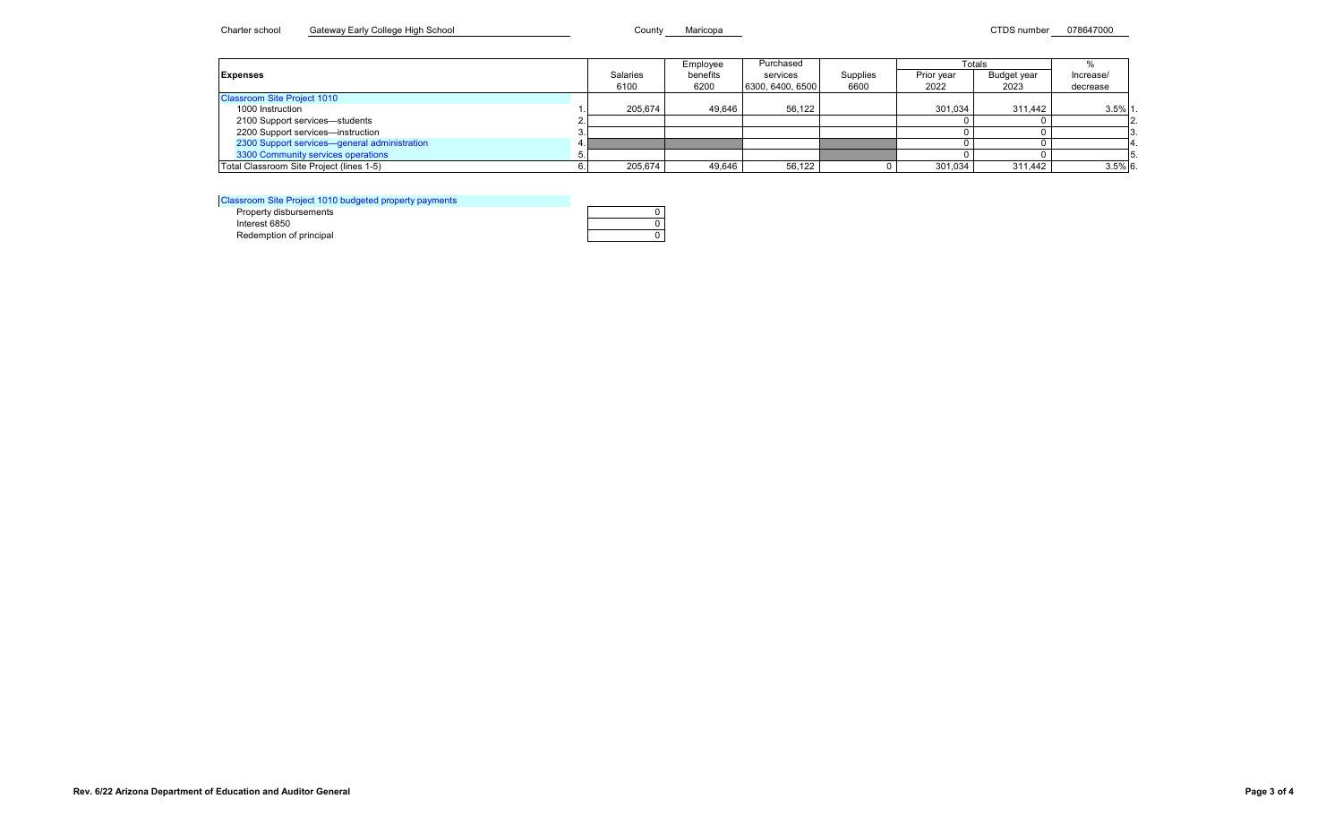## Charter school Gateway Early College High School County County Maricopa County Maricopa CTDS number 078647000

|                                              |                 | Employee | Purchased        |          |            | Totals      |            |
|----------------------------------------------|-----------------|----------|------------------|----------|------------|-------------|------------|
| <b>Expenses</b>                              | <b>Salaries</b> | benefits | services         | Supplies | Prior year | Budget year | Increase/  |
|                                              | 6100            | 6200     | 6300, 6400, 6500 | 6600     | 2022       | 2023        | decrease   |
| <b>Classroom Site Project 1010</b>           |                 |          |                  |          |            |             |            |
| 1000 Instruction                             | 205.674         | 49.646   | 56.122           |          | 301.034    | 311.442     | $3.5\%$ 1  |
| 2100 Support services-students               |                 |          |                  |          |            |             |            |
| 2200 Support services-instruction            |                 |          |                  |          |            |             |            |
| 2300 Support services-general administration |                 |          |                  |          |            |             |            |
| 3300 Community services operations           |                 |          |                  |          |            |             |            |
| Total Classroom Site Project (lines 1-5)     | 205,674         | 49,646   | 56,122           |          | 301,034    | 311,442     | $3.5\%$ 6. |

Classroom Site Project 1010 budgeted property payments

Redemption of principal

| ssroom Site Project TVTV buddeted property payments |  |
|-----------------------------------------------------|--|
| Property disbursements                              |  |
| Interest 6850                                       |  |
| Redemption of principal                             |  |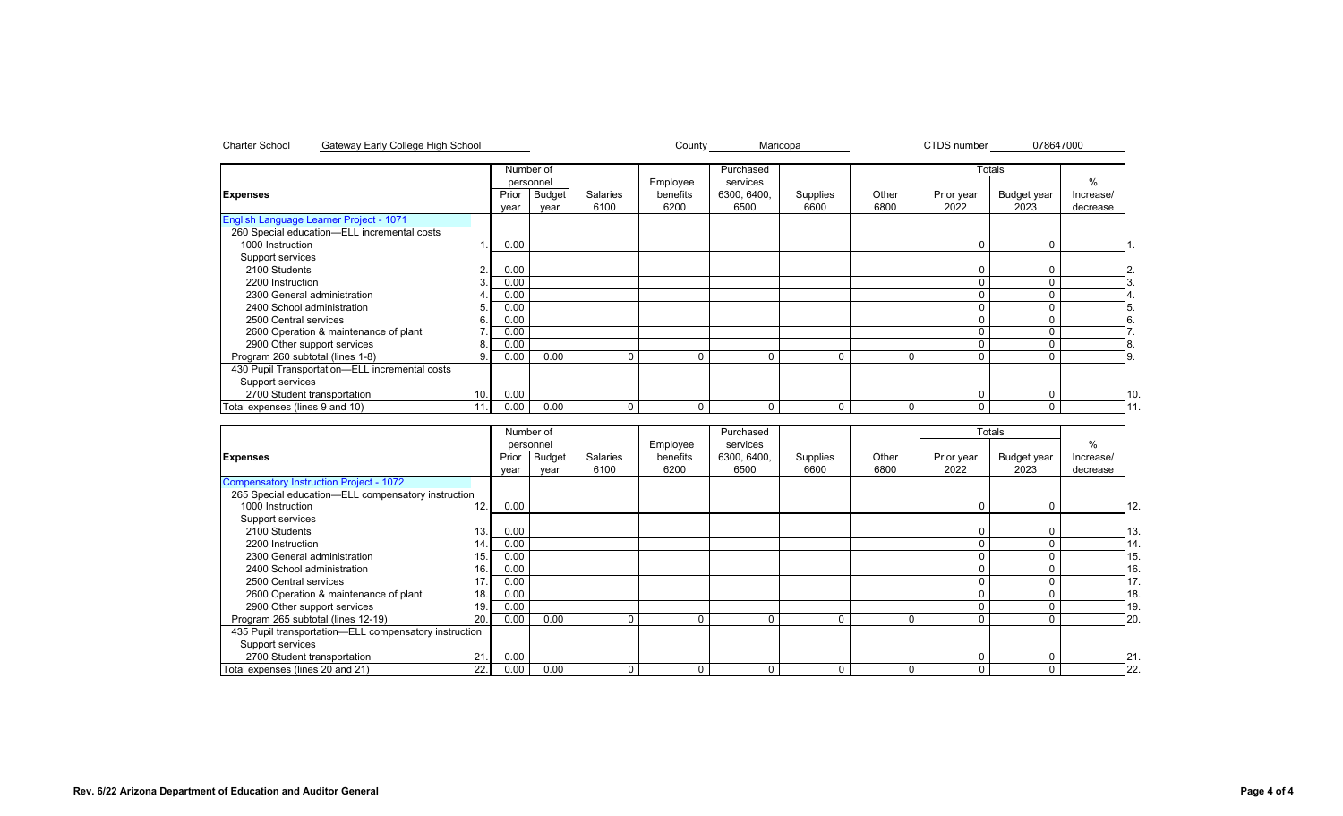|                                                |      |       | Number of     |          |          | Purchased   |          |       |            | <b>Totals</b> |           |
|------------------------------------------------|------|-------|---------------|----------|----------|-------------|----------|-------|------------|---------------|-----------|
|                                                |      |       | personnel     |          | Employee | services    |          |       |            |               | $\%$      |
| <b>Expenses</b>                                |      | Prior | <b>Budget</b> | Salaries | benefits | 6300, 6400, | Supplies | Other | Prior year | Budget year   | Increase/ |
|                                                |      | year  | year          | 6100     | 6200     | 6500        | 6600     | 6800  | 2022       | 2023          | decrease  |
| English Language Learner Project - 1071        |      |       |               |          |          |             |          |       |            |               |           |
| 260 Special education-ELL incremental costs    |      |       |               |          |          |             |          |       |            |               |           |
| 1000 Instruction                               |      | 0.00  |               |          |          |             |          |       | 0          | $\Omega$      |           |
| Support services                               |      |       |               |          |          |             |          |       |            |               |           |
| 2100 Students                                  | 2.   | 0.00  |               |          |          |             |          |       |            | $\Omega$      | 2.        |
| 2200 Instruction                               |      | 0.00  |               |          |          |             |          |       |            | $\Omega$      |           |
| 2300 General administration                    |      | 0.00  |               |          |          |             |          |       |            |               |           |
| 2400 School administration                     | 5.   | 0.00  |               |          |          |             |          |       |            |               |           |
| 2500 Central services                          | 6    | 0.00  |               |          |          |             |          |       |            |               | 6.        |
| 2600 Operation & maintenance of plant          |      | 0.00  |               |          |          |             |          |       |            |               |           |
| 2900 Other support services                    | 8.   | 0.00  |               |          |          |             |          |       |            |               | 8.        |
| Program 260 subtotal (lines 1-8)               | 9    | 0.00  | 0.00          | $\Omega$ |          | $\Omega$    | $\Omega$ | 0     |            |               | <b>9.</b> |
| 430 Pupil Transportation-ELL incremental costs |      |       |               |          |          |             |          |       |            |               |           |
| Support services                               |      |       |               |          |          |             |          |       |            |               |           |
| 2700 Student transportation                    | 10.  | 0.00  |               |          |          |             |          |       | r          | n             |           |
| Total expenses (lines 9 and 10)                | 11.1 | 0.00  | 0.00          | 0        | 0        | $\Omega$    | $\Omega$ | 0     |            |               |           |

Charter School Gateway Early College High School County Maricopa 078647000

|                                                       |      |       | Number of     |                 |          | Purchased   |          |          |            | Totals      |           |     |
|-------------------------------------------------------|------|-------|---------------|-----------------|----------|-------------|----------|----------|------------|-------------|-----------|-----|
|                                                       |      |       | personnel     |                 | Employee | services    |          |          |            |             | $\%$      |     |
| <b>Expenses</b>                                       |      | Prior | <b>Budget</b> | <b>Salaries</b> | benefits | 6300, 6400, | Supplies | Other    | Prior year | Budget year | Increase/ |     |
|                                                       |      | year  | year          | 6100            | 6200     | 6500        | 6600     | 6800     | 2022       | 2023        | decrease  |     |
| Compensatory Instruction Project - 1072               |      |       |               |                 |          |             |          |          |            |             |           |     |
| 265 Special education-ELL compensatory instruction    |      |       |               |                 |          |             |          |          |            |             |           |     |
| 1000 Instruction                                      | 12.  | 0.00  |               |                 |          |             |          |          | $\Omega$   | $\Omega$    |           | 12. |
| Support services                                      |      |       |               |                 |          |             |          |          |            |             |           |     |
| 2100 Students                                         | 13.  | 0.00  |               |                 |          |             |          |          | C          |             |           | 13  |
| 2200 Instruction                                      | 14.  | 0.00  |               |                 |          |             |          |          | 0          |             |           | 14. |
| 2300 General administration                           | 15.  | 0.00  |               |                 |          |             |          |          |            |             |           | 15  |
| 2400 School administration                            | 16.  | 0.00  |               |                 |          |             |          |          |            |             |           | 16  |
| 2500 Central services                                 |      | 0.00  |               |                 |          |             |          |          |            |             |           | 17. |
| 2600 Operation & maintenance of plant                 | 18.  | 0.00  |               |                 |          |             |          |          |            |             |           | 18  |
| 2900 Other support services                           | 19   | 0.00  |               |                 |          |             |          |          |            |             |           | 19  |
| Program 265 subtotal (lines 12-19)                    | 20.  | 0.00  | 0.00          | $\Omega$        | 0        |             | $\Omega$ | $\Omega$ |            |             |           | 20  |
| 435 Pupil transportation—ELL compensatory instruction |      |       |               |                 |          |             |          |          |            |             |           |     |
| Support services                                      |      |       |               |                 |          |             |          |          |            |             |           |     |
| 2700 Student transportation                           | 21   | 0.00  |               |                 |          |             |          |          | C          |             |           | 21  |
| Total expenses (lines 20 and 21)                      | 22.1 | 0.00  | 0.00          |                 | 0        |             |          | 0        |            |             |           | 22. |